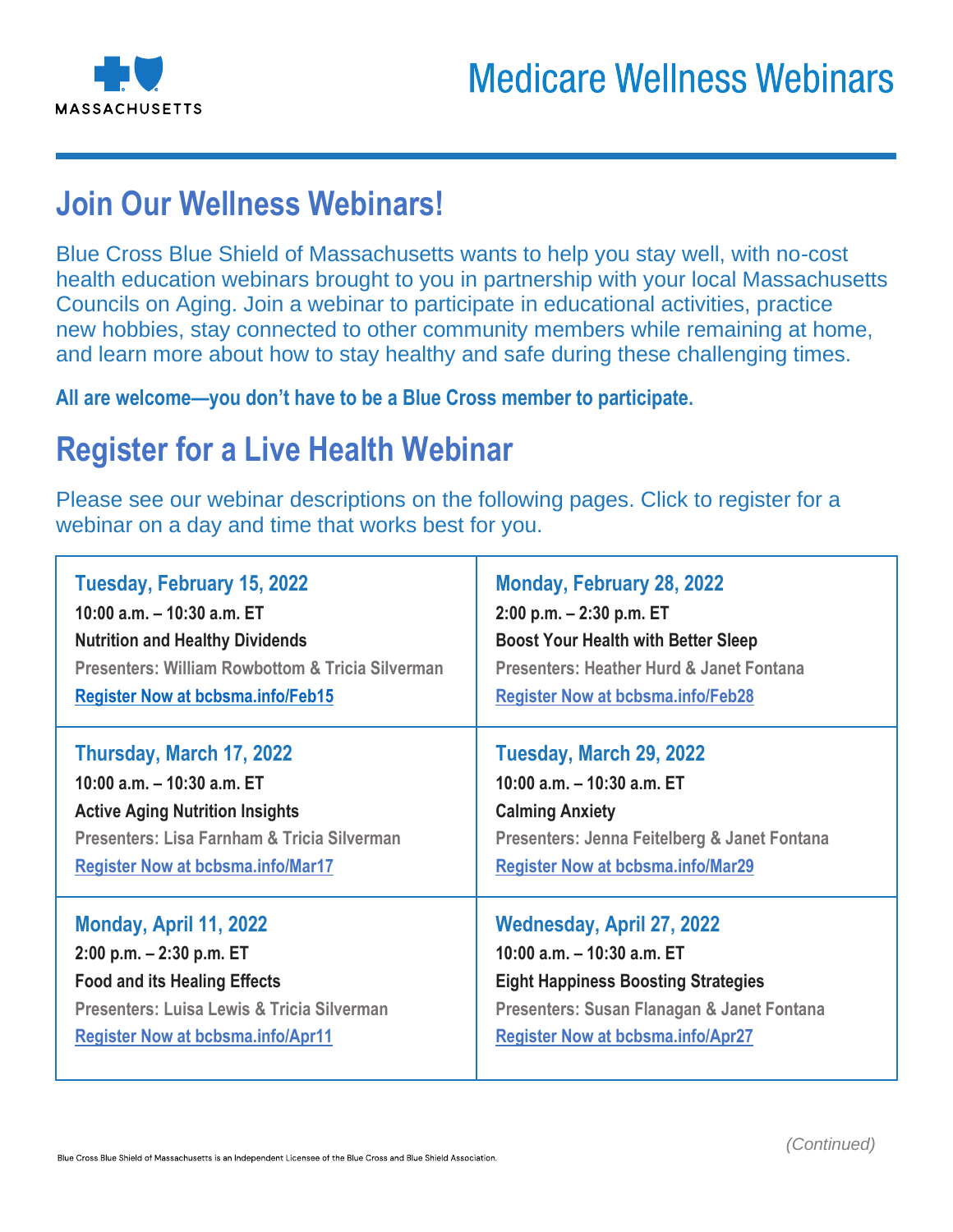

# **Join Our Wellness Webinars!**

Blue Cross Blue Shield of Massachusetts wants to help you stay well, with no-cost health education webinars brought to you in partnership with your local Massachusetts Councils on Aging. Join a webinar to participate in educational activities, practice new hobbies, stay connected to other community members while remaining at home, and learn more about how to stay healthy and safe during these challenging times.

**All are welcome—you don't have to be a Blue Cross member to participate.** 

# **Register for a Live Health Webinar**

Please see our webinar descriptions on the following pages. Click to register for a webinar on a day and time that works best for you.

| Tuesday, February 15, 2022                                  | Monday, February 28, 2022                    |
|-------------------------------------------------------------|----------------------------------------------|
| 10:00 a.m. - 10:30 a.m. ET                                  | $2:00$ p.m. $-2:30$ p.m. ET                  |
| <b>Nutrition and Healthy Dividends</b>                      | <b>Boost Your Health with Better Sleep</b>   |
| <b>Presenters: William Rowbottom &amp; Tricia Silverman</b> | Presenters: Heather Hurd & Janet Fontana     |
| <b>Register Now at bcbsma.info/Feb15</b>                    | <b>Register Now at bcbsma.info/Feb28</b>     |
| Thursday, March 17, 2022                                    | Tuesday, March 29, 2022                      |
| 10:00 a.m. - 10:30 a.m. ET                                  | 10:00 a.m. $-$ 10:30 a.m. ET                 |
| <b>Active Aging Nutrition Insights</b>                      | <b>Calming Anxiety</b>                       |
| Presenters: Lisa Farnham & Tricia Silverman                 | Presenters: Jenna Feitelberg & Janet Fontana |
| <b>Register Now at bcbsma.info/Mar17</b>                    | <b>Register Now at bcbsma.info/Mar29</b>     |
| Monday, April 11, 2022                                      | Wednesday, April 27, 2022                    |
| $2:00$ p.m. $-2:30$ p.m. ET                                 | 10:00 a.m. $-$ 10:30 a.m. ET                 |
| <b>Food and its Healing Effects</b>                         | <b>Eight Happiness Boosting Strategies</b>   |
| Presenters: Luisa Lewis & Tricia Silverman                  | Presenters: Susan Flanagan & Janet Fontana   |
| <b>Register Now at bcbsma.info/Apr11</b>                    | <b>Register Now at bcbsma.info/Apr27</b>     |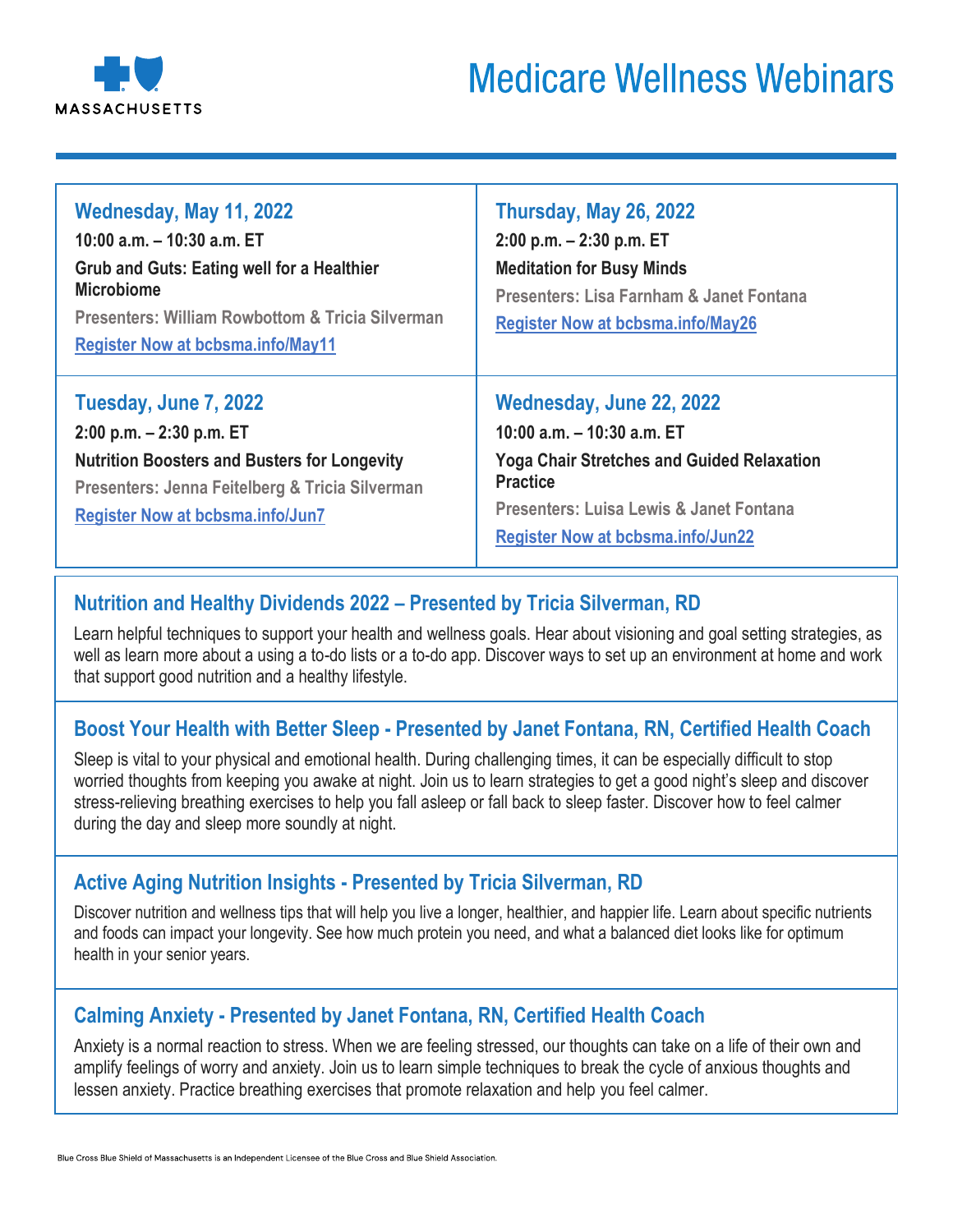

| Wednesday, May 11, 2022<br>10:00 a.m. - 10:30 a.m. ET<br><b>Grub and Guts: Eating well for a Healthier</b><br><b>Microbiome</b><br><b>Presenters: William Rowbottom &amp; Tricia Silverman</b><br><b>Register Now at bcbsma.info/May11</b> | Thursday, May 26, 2022<br>$2:00$ p.m. $-2:30$ p.m. ET<br><b>Meditation for Busy Minds</b><br>Presenters: Lisa Farnham & Janet Fontana<br><b>Register Now at bcbsma.info/May26</b>                                       |
|--------------------------------------------------------------------------------------------------------------------------------------------------------------------------------------------------------------------------------------------|-------------------------------------------------------------------------------------------------------------------------------------------------------------------------------------------------------------------------|
| Tuesday, June 7, 2022<br>$2:00$ p.m. $-2:30$ p.m. ET<br><b>Nutrition Boosters and Busters for Longevity</b><br>Presenters: Jenna Feitelberg & Tricia Silverman<br><b>Register Now at bcbsma.info/Jun7</b>                                  | Wednesday, June 22, 2022<br>10:00 a.m. $-$ 10:30 a.m. ET<br><b>Yoga Chair Stretches and Guided Relaxation</b><br><b>Practice</b><br>Presenters: Luisa Lewis & Janet Fontana<br><b>Register Now at bcbsma.info/Jun22</b> |

# **Nutrition and Healthy Dividends 2022 – Presented by Tricia Silverman, RD**

Learn helpful techniques to support your health and wellness goals. Hear about visioning and goal setting strategies, as well as learn more about a using a to-do lists or a to-do app. Discover ways to set up an environment at home and work that support good nutrition and a healthy lifestyle.

## **Boost Your Health with Better Sleep - Presented by Janet Fontana, RN, Certified Health Coach**

Sleep is vital to your physical and emotional health. During challenging times, it can be especially difficult to stop worried thoughts from keeping you awake at night. Join us to learn strategies to get a good night's sleep and discover stress-relieving breathing exercises to help you fall asleep or fall back to sleep faster. Discover how to feel calmer during the day and sleep more soundly at night.

## **Active Aging Nutrition Insights - Presented by Tricia Silverman, RD**

Discover nutrition and wellness tips that will help you live a longer, healthier, and happier life. Learn about specific nutrients and foods can impact your longevity. See how much protein you need, and what a balanced diet looks like for optimum health in your senior years.

## **Calming Anxiety - Presented by Janet Fontana, RN, Certified Health Coach**

Anxiety is a normal reaction to stress. When we are feeling stressed, our thoughts can take on a life of their own and amplify feelings of worry and anxiety. Join us to learn simple techniques to break the cycle of anxious thoughts and lessen anxiety. Practice breathing exercises that promote relaxation and help you feel calmer.